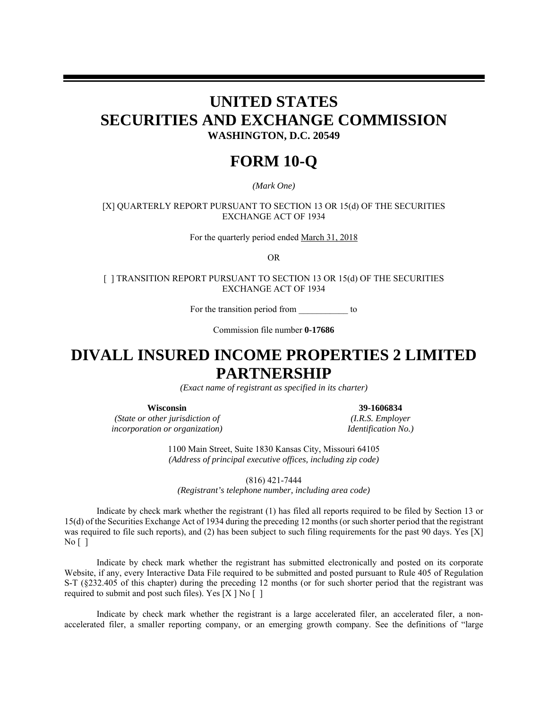## **UNITED STATES SECURITIES AND EXCHANGE COMMISSION WASHINGTON, D.C. 20549**

# **FORM 10-Q**

*(Mark One)*

[X] QUARTERLY REPORT PURSUANT TO SECTION 13 OR 15(d) OF THE SECURITIES EXCHANGE ACT OF 1934

For the quarterly period ended March 31, 2018

OR

[ ] TRANSITION REPORT PURSUANT TO SECTION 13 OR 15(d) OF THE SECURITIES EXCHANGE ACT OF 1934

For the transition period from to

Commission file number **0-17686**

# **DIVALL INSURED INCOME PROPERTIES 2 LIMITED PARTNERSHIP**

*(Exact name of registrant as specified in its charter)*

*(State or other jurisdiction of (I.R.S. Employer incorporation or organization) Identification No.)*

**Wisconsin 39-1606834** 

1100 Main Street, Suite 1830 Kansas City, Missouri 64105 *(Address of principal executive offices, including zip code)*

(816) 421-7444

*(Registrant's telephone number, including area code)*

Indicate by check mark whether the registrant (1) has filed all reports required to be filed by Section 13 or 15(d) of the Securities Exchange Act of 1934 during the preceding 12 months (or such shorter period that the registrant was required to file such reports), and (2) has been subject to such filing requirements for the past 90 days. Yes [X] No [ ]

Indicate by check mark whether the registrant has submitted electronically and posted on its corporate Website, if any, every Interactive Data File required to be submitted and posted pursuant to Rule 405 of Regulation S-T (§232.405 of this chapter) during the preceding 12 months (or for such shorter period that the registrant was required to submit and post such files). Yes  $[X \mid No \mid 1]$ 

Indicate by check mark whether the registrant is a large accelerated filer, an accelerated filer, a nonaccelerated filer, a smaller reporting company, or an emerging growth company. See the definitions of "large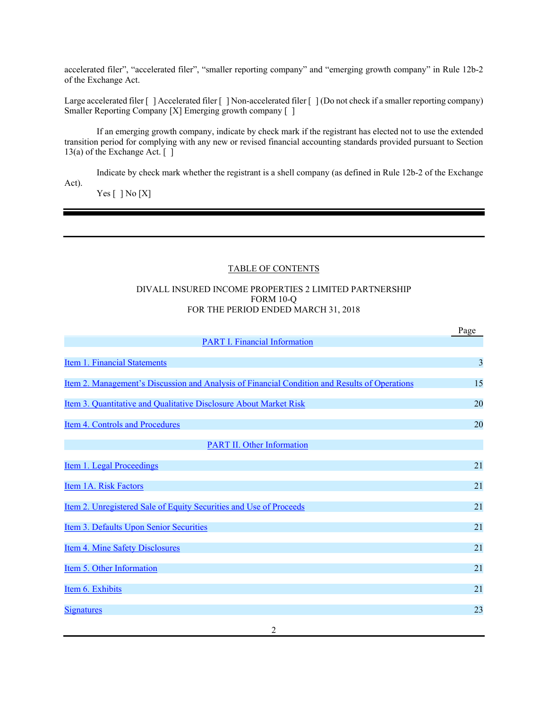accelerated filer", "accelerated filer", "smaller reporting company" and "emerging growth company" in Rule 12b-2 of the Exchange Act.

Large accelerated filer  $\lceil \cdot \rceil$  Accelerated filer  $\lceil \cdot \rceil$  Non-accelerated filer  $\lceil \cdot \rceil$  (Do not check if a smaller reporting company) Smaller Reporting Company [X] Emerging growth company [ ]

If an emerging growth company, indicate by check mark if the registrant has elected not to use the extended transition period for complying with any new or revised financial accounting standards provided pursuant to Section 13(a) of the Exchange Act. [ ]

Indicate by check mark whether the registrant is a shell company (as defined in Rule 12b-2 of the Exchange Act).

 $Yes [ ] No [X]$ 

#### TABLE OF CONTENTS

#### DIVALL INSURED INCOME PROPERTIES 2 LIMITED PARTNERSHIP FORM 10-Q FOR THE PERIOD ENDED MARCH 31, 2018

|                                                                                               | Page |
|-----------------------------------------------------------------------------------------------|------|
| <b>PART I. Financial Information</b>                                                          |      |
| <b>Item 1. Financial Statements</b>                                                           | 3    |
| Item 2. Management's Discussion and Analysis of Financial Condition and Results of Operations | 15   |
| Item 3. Quantitative and Qualitative Disclosure About Market Risk                             | 20   |
| Item 4. Controls and Procedures                                                               | 20   |
| <b>PART II. Other Information</b>                                                             |      |
| Item 1. Legal Proceedings                                                                     | 21   |
| Item 1A. Risk Factors                                                                         | 21   |
| <u>Item 2. Unregistered Sale of Equity Securities and Use of Proceeds</u>                     | 21   |
| Item 3. Defaults Upon Senior Securities                                                       | 21   |
| <b>Item 4. Mine Safety Disclosures</b>                                                        | 21   |
| Item 5. Other Information                                                                     | 21   |
| Item 6. Exhibits                                                                              | 21   |
| <b>Signatures</b>                                                                             | 23   |
|                                                                                               |      |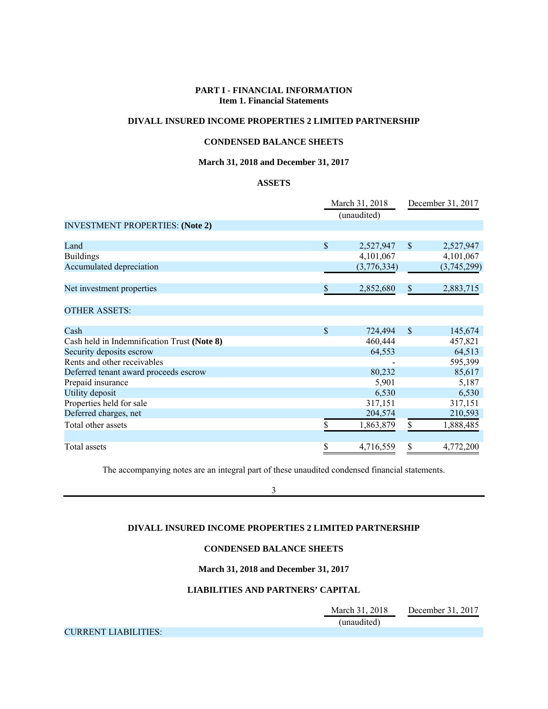#### **PART I - FINANCIAL INFORMATION Item 1. Financial Statements**

#### **DIVALL INSURED INCOME PROPERTIES 2 LIMITED PARTNERSHIP**

#### **CONDENSED BALANCE SHEETS**

#### **March 31, 2018 and December 31, 2017**

#### **ASSETS**

|                                             | March 31, 2018 |             | December 31, 2017 |             |  |
|---------------------------------------------|----------------|-------------|-------------------|-------------|--|
|                                             | (unaudited)    |             |                   |             |  |
| <b>INVESTMENT PROPERTIES: (Note 2)</b>      |                |             |                   |             |  |
|                                             |                |             |                   |             |  |
| Land                                        | $\mathcal{S}$  | 2,527,947   | $\mathbb{S}$      | 2,527,947   |  |
| <b>Buildings</b>                            |                | 4,101,067   |                   | 4,101,067   |  |
| Accumulated depreciation                    |                | (3,776,334) |                   | (3,745,299) |  |
|                                             |                |             |                   |             |  |
| Net investment properties                   | S              | 2,852,680   | \$                | 2,883,715   |  |
|                                             |                |             |                   |             |  |
| <b>OTHER ASSETS:</b>                        |                |             |                   |             |  |
|                                             |                |             |                   |             |  |
| Cash                                        | \$             | 724,494     | $\mathcal{S}$     | 145,674     |  |
| Cash held in Indemnification Trust (Note 8) |                | 460,444     |                   | 457,821     |  |
| Security deposits escrow                    |                | 64,553      |                   | 64,513      |  |
| Rents and other receivables                 |                |             |                   | 595,399     |  |
| Deferred tenant award proceeds escrow       |                | 80,232      |                   | 85,617      |  |
| Prepaid insurance                           |                | 5,901       |                   | 5,187       |  |
| Utility deposit                             |                | 6,530       |                   | 6,530       |  |
| Properties held for sale                    |                | 317,151     |                   | 317,151     |  |
| Deferred charges, net                       |                | 204,574     |                   | 210,593     |  |
| Total other assets                          | \$             | 1,863,879   | \$                | 1,888,485   |  |
|                                             |                |             |                   |             |  |
| Total assets                                | \$             | 4,716,559   | \$                | 4,772,200   |  |

The accompanying notes are an integral part of these unaudited condensed financial statements.

3

#### **DIVALL INSURED INCOME PROPERTIES 2 LIMITED PARTNERSHIP**

#### **CONDENSED BALANCE SHEETS**

**March 31, 2018 and December 31, 2017**

#### **LIABILITIES AND PARTNERS' CAPITAL**

 March 31, 2018 December 31, 2017 (unaudited)

CURRENT LIABILITIES: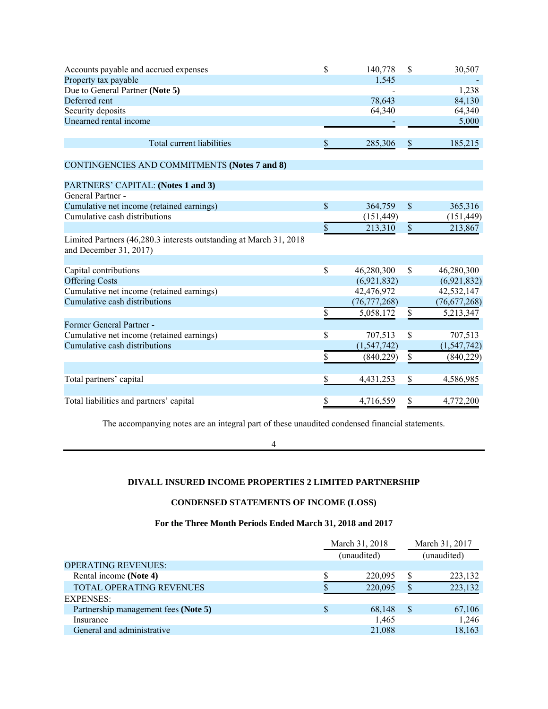| Accounts payable and accrued expenses                                                         | \$            | 140,778        | \$                        | 30,507         |
|-----------------------------------------------------------------------------------------------|---------------|----------------|---------------------------|----------------|
| Property tax payable                                                                          |               | 1,545          |                           |                |
| Due to General Partner (Note 5)                                                               |               |                |                           | 1,238          |
| Deferred rent                                                                                 |               | 78,643         |                           | 84,130         |
| Security deposits                                                                             |               | 64,340         |                           | 64,340         |
| Unearned rental income                                                                        |               |                |                           | 5,000          |
|                                                                                               |               |                |                           |                |
| Total current liabilities                                                                     | \$            | 285,306        | \$                        | 185,215        |
|                                                                                               |               |                |                           |                |
| <b>CONTINGENCIES AND COMMITMENTS (Notes 7 and 8)</b>                                          |               |                |                           |                |
| PARTNERS' CAPITAL: (Notes 1 and 3)                                                            |               |                |                           |                |
| General Partner -                                                                             |               |                |                           |                |
| Cumulative net income (retained earnings)                                                     | $\mathsf{\$}$ | 364,759        | $\boldsymbol{\mathsf{S}}$ | 365,316        |
| Cumulative cash distributions                                                                 |               | (151, 449)     |                           | (151, 449)     |
|                                                                                               | \$            | 213,310        | $\mathbb{S}$              | 213,867        |
| Limited Partners (46,280.3 interests outstanding at March 31, 2018)<br>and December 31, 2017) |               |                |                           |                |
|                                                                                               |               |                |                           |                |
| Capital contributions                                                                         | \$            | 46,280,300     | \$                        | 46,280,300     |
| <b>Offering Costs</b>                                                                         |               | (6,921,832)    |                           | (6,921,832)    |
| Cumulative net income (retained earnings)                                                     |               | 42,476,972     |                           | 42,532,147     |
| Cumulative cash distributions                                                                 |               | (76, 777, 268) |                           | (76, 677, 268) |
|                                                                                               | \$            | 5,058,172      | \$                        | 5,213,347      |
| Former General Partner -                                                                      |               |                |                           |                |
| Cumulative net income (retained earnings)                                                     | \$            | 707,513        | \$                        | 707,513        |
| Cumulative cash distributions                                                                 |               | (1, 547, 742)  |                           | (1,547,742)    |
|                                                                                               | \$            | (840,229)      | \$                        | (840, 229)     |
|                                                                                               |               |                |                           |                |
| Total partners' capital                                                                       | \$            | 4,431,253      | \$                        | 4,586,985      |
|                                                                                               |               |                |                           |                |
| Total liabilities and partners' capital                                                       | \$            | 4,716,559      | \$                        | 4,772,200      |

The accompanying notes are an integral part of these unaudited condensed financial statements.

4

#### **DIVALL INSURED INCOME PROPERTIES 2 LIMITED PARTNERSHIP**

## **CONDENSED STATEMENTS OF INCOME (LOSS)**

#### **For the Three Month Periods Ended March 31, 2018 and 2017**

|                                      | March 31, 2018 |              | March 31, 2017 |
|--------------------------------------|----------------|--------------|----------------|
|                                      | (unaudited)    |              | (unaudited)    |
| <b>OPERATING REVENUES:</b>           |                |              |                |
| Rental income (Note 4)               | 220,095        | \$           | 223,132        |
| <b>TOTAL OPERATING REVENUES</b>      | 220,095        |              | 223,132        |
| <b>EXPENSES:</b>                     |                |              |                |
| Partnership management fees (Note 5) | 68,148         | <sup>S</sup> | 67,106         |
| Insurance                            | 1,465          |              | 1,246          |
| General and administrative           | 21,088         |              | 18,163         |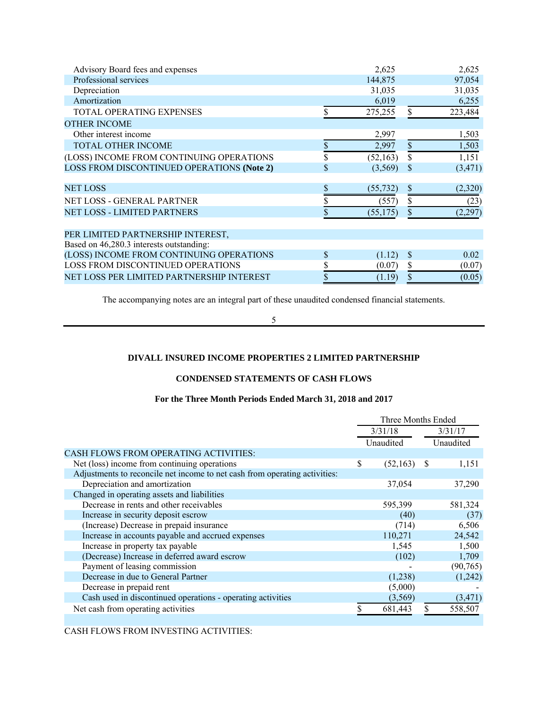| Advisory Board fees and expenses           | 2,625           |               | 2,625    |
|--------------------------------------------|-----------------|---------------|----------|
| Professional services                      | 144,875         |               | 97,054   |
| Depreciation                               | 31,035          |               | 31,035   |
| Amortization                               | 6,019           |               | 6,255    |
| TOTAL OPERATING EXPENSES                   | 275,255         | \$            | 223,484  |
| <b>OTHER INCOME</b>                        |                 |               |          |
| Other interest income                      | 2,997           |               | 1,503    |
| <b>TOTAL OTHER INCOME</b>                  | \$<br>2,997     | $\$$          | 1,503    |
| (LOSS) INCOME FROM CONTINUING OPERATIONS   | \$<br>(52, 163) | \$            | 1,151    |
| LOSS FROM DISCONTINUED OPERATIONS (Note 2) | \$<br>(3,569)   | <sup>\$</sup> | (3, 471) |
| <b>NET LOSS</b>                            | (55, 732)       | \$            | (2,320)  |
| NET LOSS - GENERAL PARTNER                 | (557)           | S             | (23)     |
| <b>NET LOSS - LIMITED PARTNERS</b>         | (55, 175)       | \$            | (2, 297) |
|                                            |                 |               |          |
| PER LIMITED PARTNERSHIP INTEREST,          |                 |               |          |
| Based on 46,280.3 interests outstanding:   |                 |               |          |
| (LOSS) INCOME FROM CONTINUING OPERATIONS   | \$<br>(1.12)    | S             | 0.02     |
| <b>LOSS FROM DISCONTINUED OPERATIONS</b>   | \$<br>(0.07)    | \$            | (0.07)   |
| NET LOSS PER LIMITED PARTNERSHIP INTEREST  | (1.19)          | \$            | (0.05)   |

The accompanying notes are an integral part of these unaudited condensed financial statements.

5

#### **DIVALL INSURED INCOME PROPERTIES 2 LIMITED PARTNERSHIP**

#### **CONDENSED STATEMENTS OF CASH FLOWS**

#### **For the Three Month Periods Ended March 31, 2018 and 2017**

|                                                                            | Three Months Ended |           |    |           |
|----------------------------------------------------------------------------|--------------------|-----------|----|-----------|
|                                                                            | 3/31/18            |           |    | 3/31/17   |
|                                                                            |                    | Unaudited |    | Unaudited |
| <b>CASH FLOWS FROM OPERATING ACTIVITIES:</b>                               |                    |           |    |           |
| Net (loss) income from continuing operations                               | \$                 | (52, 163) | -S | 1,151     |
| Adjustments to reconcile net income to net cash from operating activities: |                    |           |    |           |
| Depreciation and amortization                                              |                    | 37,054    |    | 37,290    |
| Changed in operating assets and liabilities                                |                    |           |    |           |
| Decrease in rents and other receivables                                    |                    | 595,399   |    | 581,324   |
| Increase in security deposit escrow                                        |                    | (40)      |    | (37)      |
| (Increase) Decrease in prepaid insurance                                   |                    | (714)     |    | 6,506     |
| Increase in accounts payable and accrued expenses                          |                    | 110,271   |    | 24,542    |
| Increase in property tax payable                                           |                    | 1,545     |    | 1,500     |
| (Decrease) Increase in deferred award escrow                               |                    | (102)     |    | 1,709     |
| Payment of leasing commission                                              |                    |           |    | (90, 765) |
| Decrease in due to General Partner                                         |                    | (1,238)   |    | (1,242)   |
| Decrease in prepaid rent                                                   |                    | (5,000)   |    |           |
| Cash used in discontinued operations - operating activities                |                    | (3,569)   |    | (3, 471)  |
| Net cash from operating activities                                         |                    | 681,443   |    | 558,507   |
|                                                                            |                    |           |    |           |

CASH FLOWS FROM INVESTING ACTIVITIES: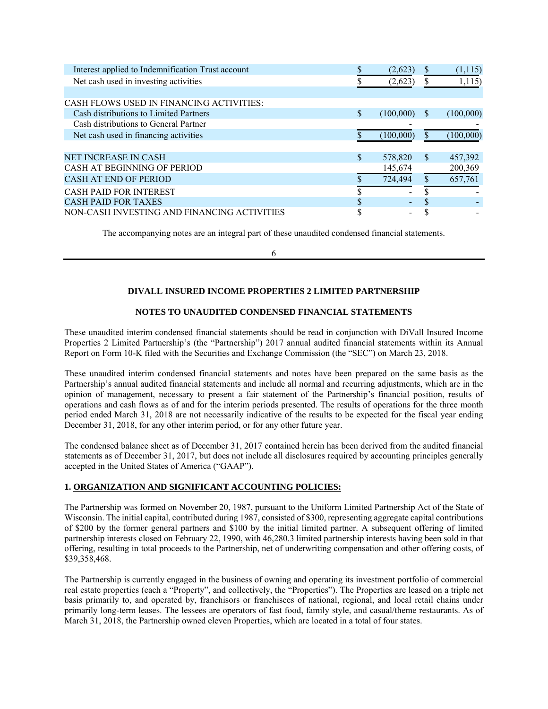| Interest applied to Indemnification Trust account |               | (2,623)         | S            | (1,115)   |
|---------------------------------------------------|---------------|-----------------|--------------|-----------|
| Net cash used in investing activities             |               | (2,623)         |              | 1,115     |
|                                                   |               |                 |              |           |
| CASH FLOWS USED IN FINANCING ACTIVITIES:          |               |                 |              |           |
| Cash distributions to Limited Partners            | \$.           | (100,000)       | \$.          | (100,000) |
| Cash distributions to General Partner             |               |                 |              |           |
| Net cash used in financing activities             |               | (100,000)       |              | (100,000) |
|                                                   |               |                 |              |           |
| <b>NET INCREASE IN CASH</b>                       | <sup>\$</sup> | 578,820         | $\mathbf{s}$ | 457,392   |
| CASH AT BEGINNING OF PERIOD                       |               | 145,674         |              | 200,369   |
| <b>CASH AT END OF PERIOD</b>                      |               | 724,494         |              | 657,761   |
| <b>CASH PAID FOR INTEREST</b>                     |               | $\qquad \qquad$ |              |           |
| <b>CASH PAID FOR TAXES</b>                        |               |                 | \$           |           |
| NON-CASH INVESTING AND FINANCING ACTIVITIES       |               |                 |              |           |

The accompanying notes are an integral part of these unaudited condensed financial statements.

6

#### **DIVALL INSURED INCOME PROPERTIES 2 LIMITED PARTNERSHIP**

#### **NOTES TO UNAUDITED CONDENSED FINANCIAL STATEMENTS**

These unaudited interim condensed financial statements should be read in conjunction with DiVall Insured Income Properties 2 Limited Partnership's (the "Partnership") 2017 annual audited financial statements within its Annual Report on Form 10-K filed with the Securities and Exchange Commission (the "SEC") on March 23, 2018.

These unaudited interim condensed financial statements and notes have been prepared on the same basis as the Partnership's annual audited financial statements and include all normal and recurring adjustments, which are in the opinion of management, necessary to present a fair statement of the Partnership's financial position, results of operations and cash flows as of and for the interim periods presented. The results of operations for the three month period ended March 31, 2018 are not necessarily indicative of the results to be expected for the fiscal year ending December 31, 2018, for any other interim period, or for any other future year.

The condensed balance sheet as of December 31, 2017 contained herein has been derived from the audited financial statements as of December 31, 2017, but does not include all disclosures required by accounting principles generally accepted in the United States of America ("GAAP").

#### **1. ORGANIZATION AND SIGNIFICANT ACCOUNTING POLICIES:**

The Partnership was formed on November 20, 1987, pursuant to the Uniform Limited Partnership Act of the State of Wisconsin. The initial capital, contributed during 1987, consisted of \$300, representing aggregate capital contributions of \$200 by the former general partners and \$100 by the initial limited partner. A subsequent offering of limited partnership interests closed on February 22, 1990, with 46,280.3 limited partnership interests having been sold in that offering, resulting in total proceeds to the Partnership, net of underwriting compensation and other offering costs, of \$39,358,468.

The Partnership is currently engaged in the business of owning and operating its investment portfolio of commercial real estate properties (each a "Property", and collectively, the "Properties"). The Properties are leased on a triple net basis primarily to, and operated by, franchisors or franchisees of national, regional, and local retail chains under primarily long-term leases. The lessees are operators of fast food, family style, and casual/theme restaurants. As of March 31, 2018, the Partnership owned eleven Properties, which are located in a total of four states.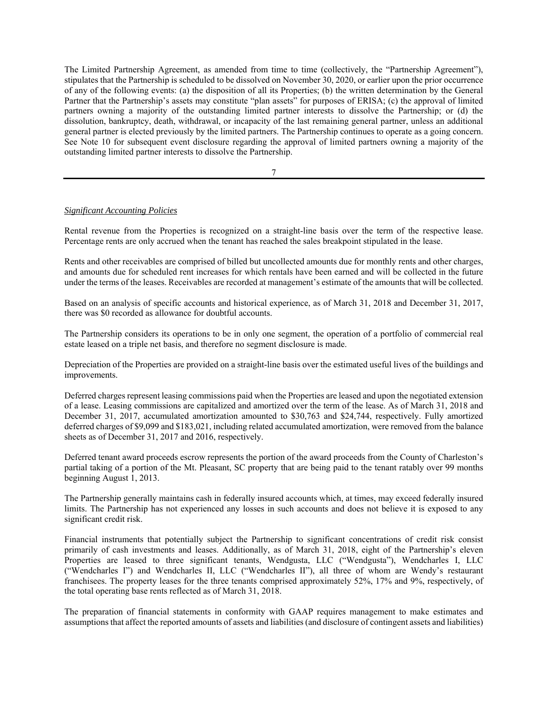The Limited Partnership Agreement, as amended from time to time (collectively, the "Partnership Agreement"), stipulates that the Partnership is scheduled to be dissolved on November 30, 2020, or earlier upon the prior occurrence of any of the following events: (a) the disposition of all its Properties; (b) the written determination by the General Partner that the Partnership's assets may constitute "plan assets" for purposes of ERISA; (c) the approval of limited partners owning a majority of the outstanding limited partner interests to dissolve the Partnership; or (d) the dissolution, bankruptcy, death, withdrawal, or incapacity of the last remaining general partner, unless an additional general partner is elected previously by the limited partners. The Partnership continues to operate as a going concern. See Note 10 for subsequent event disclosure regarding the approval of limited partners owning a majority of the outstanding limited partner interests to dissolve the Partnership.

7

#### *Significant Accounting Policies*

Rental revenue from the Properties is recognized on a straight-line basis over the term of the respective lease. Percentage rents are only accrued when the tenant has reached the sales breakpoint stipulated in the lease.

Rents and other receivables are comprised of billed but uncollected amounts due for monthly rents and other charges, and amounts due for scheduled rent increases for which rentals have been earned and will be collected in the future under the terms of the leases. Receivables are recorded at management's estimate of the amounts that will be collected.

Based on an analysis of specific accounts and historical experience, as of March 31, 2018 and December 31, 2017, there was \$0 recorded as allowance for doubtful accounts.

The Partnership considers its operations to be in only one segment, the operation of a portfolio of commercial real estate leased on a triple net basis, and therefore no segment disclosure is made.

Depreciation of the Properties are provided on a straight-line basis over the estimated useful lives of the buildings and improvements.

Deferred charges represent leasing commissions paid when the Properties are leased and upon the negotiated extension of a lease. Leasing commissions are capitalized and amortized over the term of the lease. As of March 31, 2018 and December 31, 2017, accumulated amortization amounted to \$30,763 and \$24,744, respectively. Fully amortized deferred charges of \$9,099 and \$183,021, including related accumulated amortization, were removed from the balance sheets as of December 31, 2017 and 2016, respectively.

Deferred tenant award proceeds escrow represents the portion of the award proceeds from the County of Charleston's partial taking of a portion of the Mt. Pleasant, SC property that are being paid to the tenant ratably over 99 months beginning August 1, 2013.

The Partnership generally maintains cash in federally insured accounts which, at times, may exceed federally insured limits. The Partnership has not experienced any losses in such accounts and does not believe it is exposed to any significant credit risk.

Financial instruments that potentially subject the Partnership to significant concentrations of credit risk consist primarily of cash investments and leases. Additionally, as of March 31, 2018, eight of the Partnership's eleven Properties are leased to three significant tenants, Wendgusta, LLC ("Wendgusta"), Wendcharles I, LLC ("Wendcharles I") and Wendcharles II, LLC ("Wendcharles II"), all three of whom are Wendy's restaurant franchisees. The property leases for the three tenants comprised approximately 52%, 17% and 9%, respectively, of the total operating base rents reflected as of March 31, 2018.

The preparation of financial statements in conformity with GAAP requires management to make estimates and assumptions that affect the reported amounts of assets and liabilities (and disclosure of contingent assets and liabilities)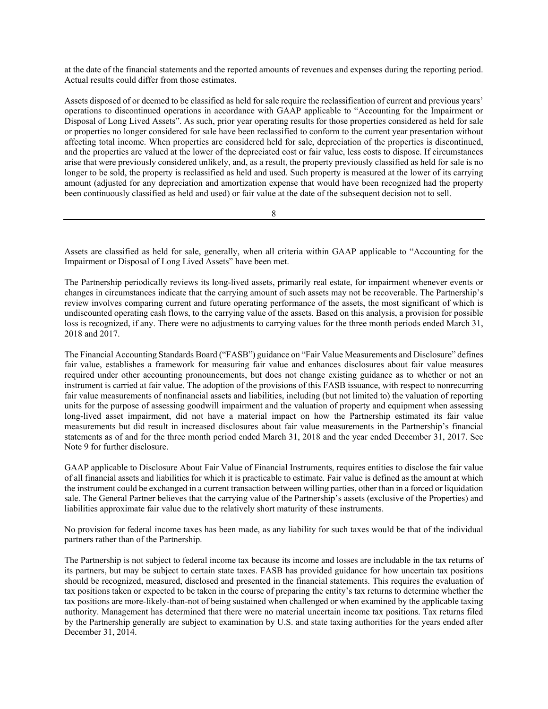at the date of the financial statements and the reported amounts of revenues and expenses during the reporting period. Actual results could differ from those estimates.

Assets disposed of or deemed to be classified as held for sale require the reclassification of current and previous years' operations to discontinued operations in accordance with GAAP applicable to "Accounting for the Impairment or Disposal of Long Lived Assets". As such, prior year operating results for those properties considered as held for sale or properties no longer considered for sale have been reclassified to conform to the current year presentation without affecting total income. When properties are considered held for sale, depreciation of the properties is discontinued, and the properties are valued at the lower of the depreciated cost or fair value, less costs to dispose. If circumstances arise that were previously considered unlikely, and, as a result, the property previously classified as held for sale is no longer to be sold, the property is reclassified as held and used. Such property is measured at the lower of its carrying amount (adjusted for any depreciation and amortization expense that would have been recognized had the property been continuously classified as held and used) or fair value at the date of the subsequent decision not to sell.

8

Assets are classified as held for sale, generally, when all criteria within GAAP applicable to "Accounting for the Impairment or Disposal of Long Lived Assets" have been met.

The Partnership periodically reviews its long-lived assets, primarily real estate, for impairment whenever events or changes in circumstances indicate that the carrying amount of such assets may not be recoverable. The Partnership's review involves comparing current and future operating performance of the assets, the most significant of which is undiscounted operating cash flows, to the carrying value of the assets. Based on this analysis, a provision for possible loss is recognized, if any. There were no adjustments to carrying values for the three month periods ended March 31, 2018 and 2017.

The Financial Accounting Standards Board ("FASB") guidance on "Fair Value Measurements and Disclosure" defines fair value, establishes a framework for measuring fair value and enhances disclosures about fair value measures required under other accounting pronouncements, but does not change existing guidance as to whether or not an instrument is carried at fair value. The adoption of the provisions of this FASB issuance, with respect to nonrecurring fair value measurements of nonfinancial assets and liabilities, including (but not limited to) the valuation of reporting units for the purpose of assessing goodwill impairment and the valuation of property and equipment when assessing long-lived asset impairment, did not have a material impact on how the Partnership estimated its fair value measurements but did result in increased disclosures about fair value measurements in the Partnership's financial statements as of and for the three month period ended March 31, 2018 and the year ended December 31, 2017. See Note 9 for further disclosure.

GAAP applicable to Disclosure About Fair Value of Financial Instruments, requires entities to disclose the fair value of all financial assets and liabilities for which it is practicable to estimate. Fair value is defined as the amount at which the instrument could be exchanged in a current transaction between willing parties, other than in a forced or liquidation sale. The General Partner believes that the carrying value of the Partnership's assets (exclusive of the Properties) and liabilities approximate fair value due to the relatively short maturity of these instruments.

No provision for federal income taxes has been made, as any liability for such taxes would be that of the individual partners rather than of the Partnership.

The Partnership is not subject to federal income tax because its income and losses are includable in the tax returns of its partners, but may be subject to certain state taxes. FASB has provided guidance for how uncertain tax positions should be recognized, measured, disclosed and presented in the financial statements. This requires the evaluation of tax positions taken or expected to be taken in the course of preparing the entity's tax returns to determine whether the tax positions are more-likely-than-not of being sustained when challenged or when examined by the applicable taxing authority. Management has determined that there were no material uncertain income tax positions. Tax returns filed by the Partnership generally are subject to examination by U.S. and state taxing authorities for the years ended after December 31, 2014.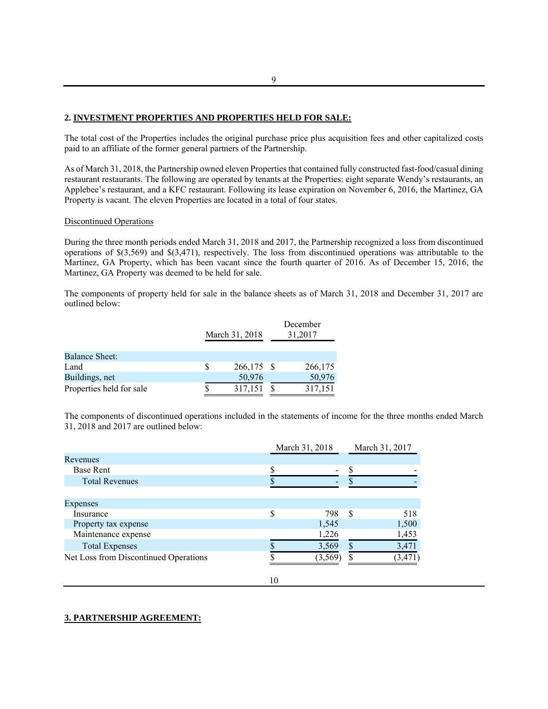#### **2. INVESTMENT PROPERTIES AND PROPERTIES HELD FOR SALE:**

The total cost of the Properties includes the original purchase price plus acquisition fees and other capitalized costs paid to an affiliate of the former general partners of the Partnership.

As of March 31, 2018, the Partnership owned eleven Properties that contained fully constructed fast-food/casual dining restaurant restaurants. The following are operated by tenants at the Properties: eight separate Wendy's restaurants, an Applebee's restaurant, and a KFC restaurant. Following its lease expiration on November 6, 2016, the Martinez, GA Property is vacant. The eleven Properties are located in a total of four states.

#### Discontinued Operations

During the three month periods ended March 31, 2018 and 2017, the Partnership recognized a loss from discontinued operations of \$(3,569) and \$(3,471), respectively. The loss from discontinued operations was attributable to the Martinez, GA Property, which has been vacant since the fourth quarter of 2016. As of December 15, 2016, the Martinez, GA Property was deemed to be held for sale.

The components of property held for sale in the balance sheets as of March 31, 2018 and December 31, 2017 are outlined below:

|                          | March 31, 2018 |            | December<br>31,2017 |
|--------------------------|----------------|------------|---------------------|
| <b>Balance Sheet:</b>    |                |            |                     |
| Land                     |                | 266,175 \$ | 266,175             |
| Buildings, net           |                | 50,976     | 50,976              |
| Properties held for sale |                | 317,151    | 317,151             |

The components of discontinued operations included in the statements of income for the three months ended March 31, 2018 and 2017 are outlined below:

|                                       | March 31, 2018 |               | March 31, 2017 |
|---------------------------------------|----------------|---------------|----------------|
| <b>Revenues</b>                       |                |               |                |
| Base Rent                             |                |               |                |
| <b>Total Revenues</b>                 |                |               |                |
|                                       |                |               |                |
| Expenses                              |                |               |                |
| Insurance                             | 798            | <sup>\$</sup> | 518            |
| Property tax expense                  | 1,545          |               | 1,500          |
| Maintenance expense                   | 1,226          |               | 1,453          |
| <b>Total Expenses</b>                 | 3,569          |               | 3,471          |
| Net Loss from Discontinued Operations | (3.569)        |               | (3, 471)       |
|                                       |                |               |                |

#### **3. PARTNERSHIP AGREEMENT:**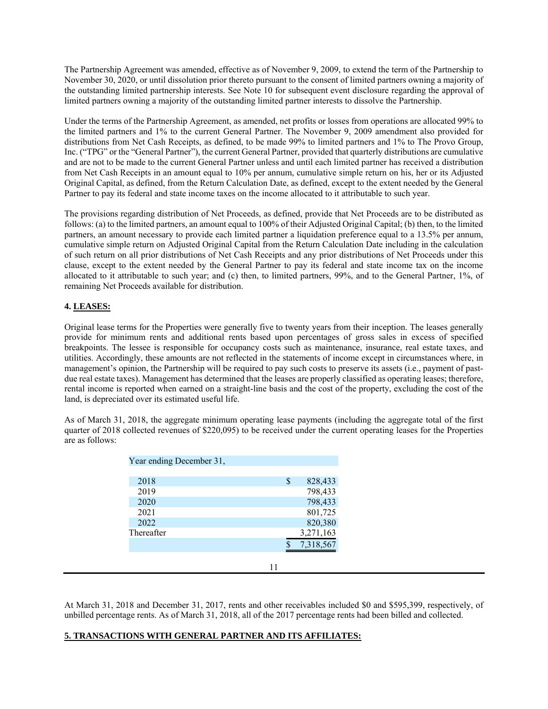The Partnership Agreement was amended, effective as of November 9, 2009, to extend the term of the Partnership to November 30, 2020, or until dissolution prior thereto pursuant to the consent of limited partners owning a majority of the outstanding limited partnership interests. See Note 10 for subsequent event disclosure regarding the approval of limited partners owning a majority of the outstanding limited partner interests to dissolve the Partnership.

Under the terms of the Partnership Agreement, as amended, net profits or losses from operations are allocated 99% to the limited partners and 1% to the current General Partner. The November 9, 2009 amendment also provided for distributions from Net Cash Receipts, as defined, to be made 99% to limited partners and 1% to The Provo Group, Inc. ("TPG" or the "General Partner"), the current General Partner, provided that quarterly distributions are cumulative and are not to be made to the current General Partner unless and until each limited partner has received a distribution from Net Cash Receipts in an amount equal to 10% per annum, cumulative simple return on his, her or its Adjusted Original Capital, as defined, from the Return Calculation Date, as defined, except to the extent needed by the General Partner to pay its federal and state income taxes on the income allocated to it attributable to such year.

The provisions regarding distribution of Net Proceeds, as defined, provide that Net Proceeds are to be distributed as follows: (a) to the limited partners, an amount equal to 100% of their Adjusted Original Capital; (b) then, to the limited partners, an amount necessary to provide each limited partner a liquidation preference equal to a 13.5% per annum, cumulative simple return on Adjusted Original Capital from the Return Calculation Date including in the calculation of such return on all prior distributions of Net Cash Receipts and any prior distributions of Net Proceeds under this clause, except to the extent needed by the General Partner to pay its federal and state income tax on the income allocated to it attributable to such year; and (c) then, to limited partners, 99%, and to the General Partner, 1%, of remaining Net Proceeds available for distribution.

#### **4. LEASES:**

Original lease terms for the Properties were generally five to twenty years from their inception. The leases generally provide for minimum rents and additional rents based upon percentages of gross sales in excess of specified breakpoints. The lessee is responsible for occupancy costs such as maintenance, insurance, real estate taxes, and utilities. Accordingly, these amounts are not reflected in the statements of income except in circumstances where, in management's opinion, the Partnership will be required to pay such costs to preserve its assets (i.e., payment of pastdue real estate taxes). Management has determined that the leases are properly classified as operating leases; therefore, rental income is reported when earned on a straight-line basis and the cost of the property, excluding the cost of the land, is depreciated over its estimated useful life.

As of March 31, 2018, the aggregate minimum operating lease payments (including the aggregate total of the first quarter of 2018 collected revenues of \$220,095) to be received under the current operating leases for the Properties are as follows:

| Year ending December 31, |    |           |
|--------------------------|----|-----------|
| 2018                     | \$ | 828,433   |
| 2019                     |    | 798,433   |
| 2020                     |    | 798,433   |
| 2021                     |    | 801,725   |
| 2022                     |    | 820,380   |
| Thereafter               |    | 3,271,163 |
|                          |    | 7,318,567 |
|                          |    |           |
|                          |    |           |

At March 31, 2018 and December 31, 2017, rents and other receivables included \$0 and \$595,399, respectively, of unbilled percentage rents. As of March 31, 2018, all of the 2017 percentage rents had been billed and collected.

#### **5. TRANSACTIONS WITH GENERAL PARTNER AND ITS AFFILIATES:**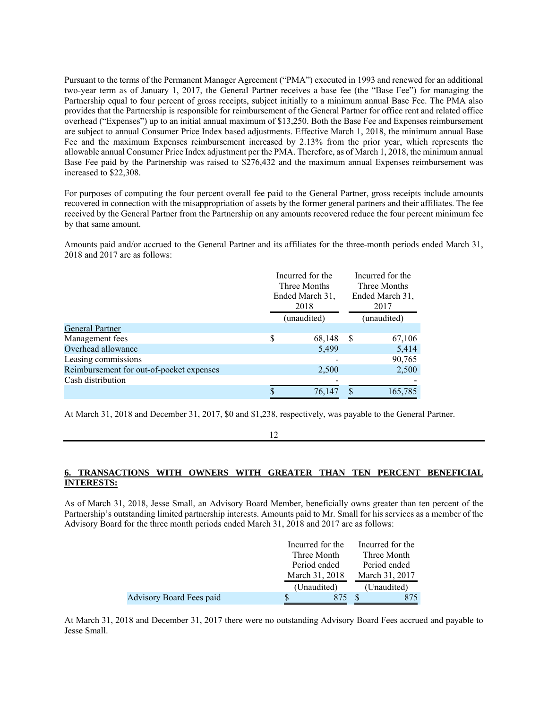Pursuant to the terms of the Permanent Manager Agreement ("PMA") executed in 1993 and renewed for an additional two-year term as of January 1, 2017, the General Partner receives a base fee (the "Base Fee") for managing the Partnership equal to four percent of gross receipts, subject initially to a minimum annual Base Fee. The PMA also provides that the Partnership is responsible for reimbursement of the General Partner for office rent and related office overhead ("Expenses") up to an initial annual maximum of \$13,250. Both the Base Fee and Expenses reimbursement are subject to annual Consumer Price Index based adjustments. Effective March 1, 2018, the minimum annual Base Fee and the maximum Expenses reimbursement increased by 2.13% from the prior year, which represents the allowable annual Consumer Price Index adjustment per the PMA. Therefore, as of March 1, 2018, the minimum annual Base Fee paid by the Partnership was raised to \$276,432 and the maximum annual Expenses reimbursement was increased to \$22,308.

For purposes of computing the four percent overall fee paid to the General Partner, gross receipts include amounts recovered in connection with the misappropriation of assets by the former general partners and their affiliates. The fee received by the General Partner from the Partnership on any amounts recovered reduce the four percent minimum fee by that same amount.

Amounts paid and/or accrued to the General Partner and its affiliates for the three-month periods ended March 31, 2018 and 2017 are as follows:

|                                          | Incurred for the<br>Three Months<br>Ended March 31,<br>2018 |             |              | Incurred for the<br>Three Months<br>Ended March 31,<br>2017 |
|------------------------------------------|-------------------------------------------------------------|-------------|--------------|-------------------------------------------------------------|
|                                          |                                                             | (unaudited) |              | (unaudited)                                                 |
| <b>General Partner</b>                   |                                                             |             |              |                                                             |
| Management fees                          | \$                                                          | 68,148      | <sup>S</sup> | 67,106                                                      |
| Overhead allowance                       |                                                             | 5,499       |              | 5,414                                                       |
| Leasing commissions                      |                                                             |             |              | 90,765                                                      |
| Reimbursement for out-of-pocket expenses |                                                             | 2,500       |              | 2,500                                                       |
| Cash distribution                        |                                                             |             |              |                                                             |
|                                          |                                                             | 76,147      |              | 165,785                                                     |

At March 31, 2018 and December 31, 2017, \$0 and \$1,238, respectively, was payable to the General Partner.

#### **6. TRANSACTIONS WITH OWNERS WITH GREATER THAN TEN PERCENT BENEFICIAL INTERESTS:**

As of March 31, 2018, Jesse Small, an Advisory Board Member, beneficially owns greater than ten percent of the Partnership's outstanding limited partnership interests. Amounts paid to Mr. Small for his services as a member of the Advisory Board for the three month periods ended March 31, 2018 and 2017 are as follows:

|                                 | Incurred for the | Incurred for the |
|---------------------------------|------------------|------------------|
|                                 | Three Month      | Three Month      |
|                                 | Period ended     | Period ended     |
|                                 | March 31, 2018   | March 31, 2017   |
|                                 | (Unaudited)      | (Unaudited)      |
| <b>Advisory Board Fees paid</b> |                  |                  |

At March 31, 2018 and December 31, 2017 there were no outstanding Advisory Board Fees accrued and payable to Jesse Small.

<sup>12</sup>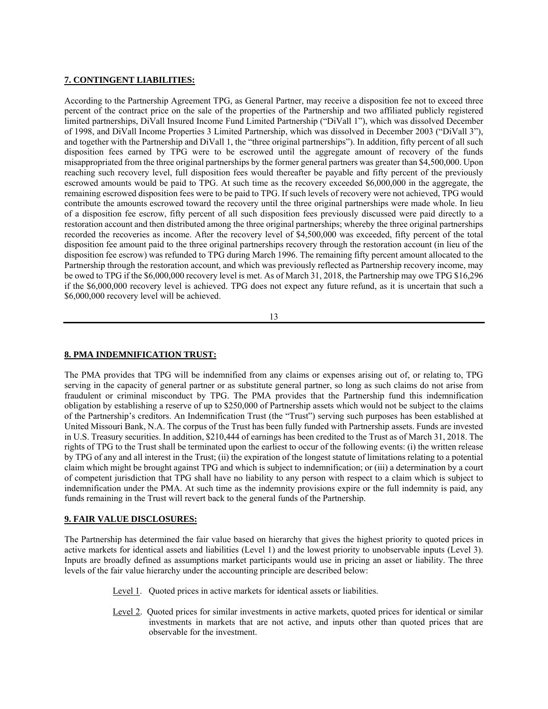#### **7. CONTINGENT LIABILITIES:**

According to the Partnership Agreement TPG, as General Partner, may receive a disposition fee not to exceed three percent of the contract price on the sale of the properties of the Partnership and two affiliated publicly registered limited partnerships, DiVall Insured Income Fund Limited Partnership ("DiVall 1"), which was dissolved December of 1998, and DiVall Income Properties 3 Limited Partnership, which was dissolved in December 2003 ("DiVall 3"), and together with the Partnership and DiVall 1, the "three original partnerships"). In addition, fifty percent of all such disposition fees earned by TPG were to be escrowed until the aggregate amount of recovery of the funds misappropriated from the three original partnerships by the former general partners was greater than \$4,500,000. Upon reaching such recovery level, full disposition fees would thereafter be payable and fifty percent of the previously escrowed amounts would be paid to TPG. At such time as the recovery exceeded \$6,000,000 in the aggregate, the remaining escrowed disposition fees were to be paid to TPG. If such levels of recovery were not achieved, TPG would contribute the amounts escrowed toward the recovery until the three original partnerships were made whole. In lieu of a disposition fee escrow, fifty percent of all such disposition fees previously discussed were paid directly to a restoration account and then distributed among the three original partnerships; whereby the three original partnerships recorded the recoveries as income. After the recovery level of \$4,500,000 was exceeded, fifty percent of the total disposition fee amount paid to the three original partnerships recovery through the restoration account (in lieu of the disposition fee escrow) was refunded to TPG during March 1996. The remaining fifty percent amount allocated to the Partnership through the restoration account, and which was previously reflected as Partnership recovery income, may be owed to TPG if the \$6,000,000 recovery level is met. As of March 31, 2018, the Partnership may owe TPG \$16,296 if the \$6,000,000 recovery level is achieved. TPG does not expect any future refund, as it is uncertain that such a \$6,000,000 recovery level will be achieved.

13

#### **8. PMA INDEMNIFICATION TRUST:**

The PMA provides that TPG will be indemnified from any claims or expenses arising out of, or relating to, TPG serving in the capacity of general partner or as substitute general partner, so long as such claims do not arise from fraudulent or criminal misconduct by TPG. The PMA provides that the Partnership fund this indemnification obligation by establishing a reserve of up to \$250,000 of Partnership assets which would not be subject to the claims of the Partnership's creditors. An Indemnification Trust (the "Trust") serving such purposes has been established at United Missouri Bank, N.A. The corpus of the Trust has been fully funded with Partnership assets. Funds are invested in U.S. Treasury securities. In addition, \$210,444 of earnings has been credited to the Trust as of March 31, 2018. The rights of TPG to the Trust shall be terminated upon the earliest to occur of the following events: (i) the written release by TPG of any and all interest in the Trust; (ii) the expiration of the longest statute of limitations relating to a potential claim which might be brought against TPG and which is subject to indemnification; or (iii) a determination by a court of competent jurisdiction that TPG shall have no liability to any person with respect to a claim which is subject to indemnification under the PMA. At such time as the indemnity provisions expire or the full indemnity is paid, any funds remaining in the Trust will revert back to the general funds of the Partnership.

#### **9. FAIR VALUE DISCLOSURES:**

The Partnership has determined the fair value based on hierarchy that gives the highest priority to quoted prices in active markets for identical assets and liabilities (Level 1) and the lowest priority to unobservable inputs (Level 3). Inputs are broadly defined as assumptions market participants would use in pricing an asset or liability. The three levels of the fair value hierarchy under the accounting principle are described below:

- Level 1. Quoted prices in active markets for identical assets or liabilities.
- Level 2. Quoted prices for similar investments in active markets, quoted prices for identical or similar investments in markets that are not active, and inputs other than quoted prices that are observable for the investment.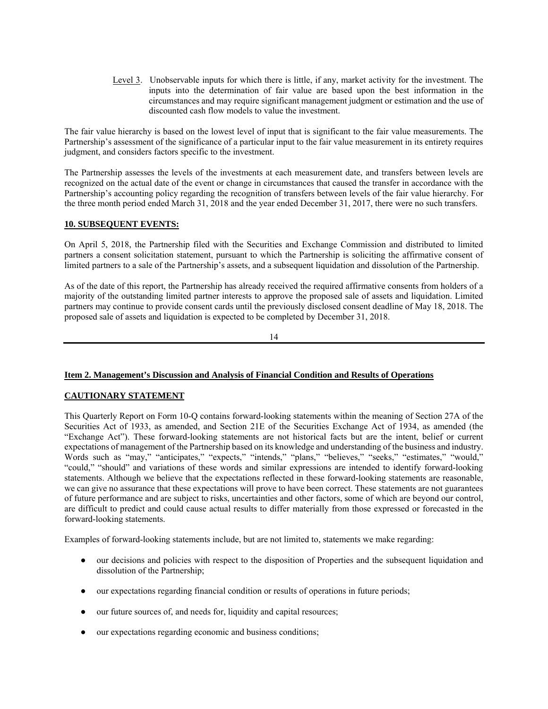Level 3. Unobservable inputs for which there is little, if any, market activity for the investment. The inputs into the determination of fair value are based upon the best information in the circumstances and may require significant management judgment or estimation and the use of discounted cash flow models to value the investment.

The fair value hierarchy is based on the lowest level of input that is significant to the fair value measurements. The Partnership's assessment of the significance of a particular input to the fair value measurement in its entirety requires judgment, and considers factors specific to the investment.

The Partnership assesses the levels of the investments at each measurement date, and transfers between levels are recognized on the actual date of the event or change in circumstances that caused the transfer in accordance with the Partnership's accounting policy regarding the recognition of transfers between levels of the fair value hierarchy. For the three month period ended March 31, 2018 and the year ended December 31, 2017, there were no such transfers.

#### **10. SUBSEQUENT EVENTS:**

On April 5, 2018, the Partnership filed with the Securities and Exchange Commission and distributed to limited partners a consent solicitation statement, pursuant to which the Partnership is soliciting the affirmative consent of limited partners to a sale of the Partnership's assets, and a subsequent liquidation and dissolution of the Partnership.

As of the date of this report, the Partnership has already received the required affirmative consents from holders of a majority of the outstanding limited partner interests to approve the proposed sale of assets and liquidation. Limited partners may continue to provide consent cards until the previously disclosed consent deadline of May 18, 2018. The proposed sale of assets and liquidation is expected to be completed by December 31, 2018.

14

#### **Item 2. Management's Discussion and Analysis of Financial Condition and Results of Operations**

#### **CAUTIONARY STATEMENT**

This Quarterly Report on Form 10-Q contains forward-looking statements within the meaning of Section 27A of the Securities Act of 1933, as amended, and Section 21E of the Securities Exchange Act of 1934, as amended (the "Exchange Act"). These forward-looking statements are not historical facts but are the intent, belief or current expectations of management of the Partnership based on its knowledge and understanding of the business and industry. Words such as "may," "anticipates," "expects," "intends," "plans," "believes," "seeks," "estimates," "would," "could," "should" and variations of these words and similar expressions are intended to identify forward-looking statements. Although we believe that the expectations reflected in these forward-looking statements are reasonable, we can give no assurance that these expectations will prove to have been correct. These statements are not guarantees of future performance and are subject to risks, uncertainties and other factors, some of which are beyond our control, are difficult to predict and could cause actual results to differ materially from those expressed or forecasted in the forward-looking statements.

Examples of forward-looking statements include, but are not limited to, statements we make regarding:

- our decisions and policies with respect to the disposition of Properties and the subsequent liquidation and dissolution of the Partnership;
- our expectations regarding financial condition or results of operations in future periods;
- our future sources of, and needs for, liquidity and capital resources;
- our expectations regarding economic and business conditions;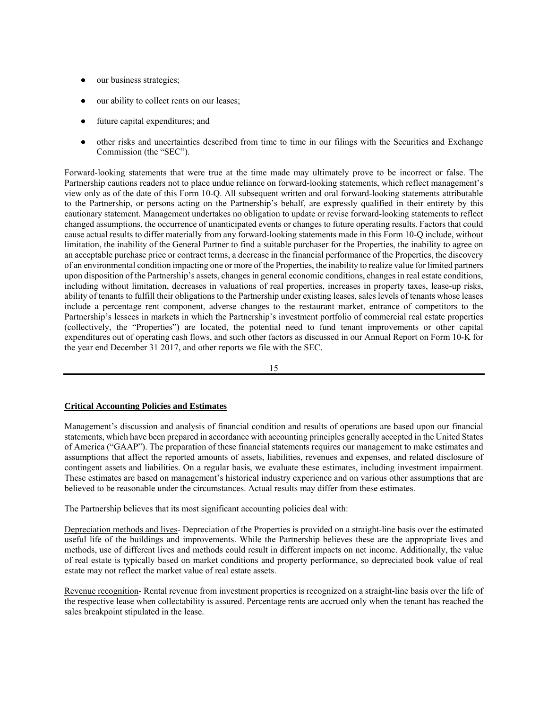- our business strategies;
- our ability to collect rents on our leases;
- future capital expenditures; and
- other risks and uncertainties described from time to time in our filings with the Securities and Exchange Commission (the "SEC").

Forward-looking statements that were true at the time made may ultimately prove to be incorrect or false. The Partnership cautions readers not to place undue reliance on forward-looking statements, which reflect management's view only as of the date of this Form 10-Q. All subsequent written and oral forward-looking statements attributable to the Partnership, or persons acting on the Partnership's behalf, are expressly qualified in their entirety by this cautionary statement. Management undertakes no obligation to update or revise forward-looking statements to reflect changed assumptions, the occurrence of unanticipated events or changes to future operating results. Factors that could cause actual results to differ materially from any forward-looking statements made in this Form 10-Q include, without limitation, the inability of the General Partner to find a suitable purchaser for the Properties, the inability to agree on an acceptable purchase price or contract terms, a decrease in the financial performance of the Properties, the discovery of an environmental condition impacting one or more of the Properties, the inability to realize value for limited partners upon disposition of the Partnership's assets, changes in general economic conditions, changes in real estate conditions, including without limitation, decreases in valuations of real properties, increases in property taxes, lease-up risks, ability of tenants to fulfill their obligations to the Partnership under existing leases, sales levels of tenants whose leases include a percentage rent component, adverse changes to the restaurant market, entrance of competitors to the Partnership's lessees in markets in which the Partnership's investment portfolio of commercial real estate properties (collectively, the "Properties") are located, the potential need to fund tenant improvements or other capital expenditures out of operating cash flows, and such other factors as discussed in our Annual Report on Form 10-K for the year end December 31 2017, and other reports we file with the SEC.

15

#### **Critical Accounting Policies and Estimates**

Management's discussion and analysis of financial condition and results of operations are based upon our financial statements, which have been prepared in accordance with accounting principles generally accepted in the United States of America ("GAAP"). The preparation of these financial statements requires our management to make estimates and assumptions that affect the reported amounts of assets, liabilities, revenues and expenses, and related disclosure of contingent assets and liabilities. On a regular basis, we evaluate these estimates, including investment impairment. These estimates are based on management's historical industry experience and on various other assumptions that are believed to be reasonable under the circumstances. Actual results may differ from these estimates.

The Partnership believes that its most significant accounting policies deal with:

Depreciation methods and lives- Depreciation of the Properties is provided on a straight-line basis over the estimated useful life of the buildings and improvements. While the Partnership believes these are the appropriate lives and methods, use of different lives and methods could result in different impacts on net income. Additionally, the value of real estate is typically based on market conditions and property performance, so depreciated book value of real estate may not reflect the market value of real estate assets.

Revenue recognition- Rental revenue from investment properties is recognized on a straight-line basis over the life of the respective lease when collectability is assured. Percentage rents are accrued only when the tenant has reached the sales breakpoint stipulated in the lease.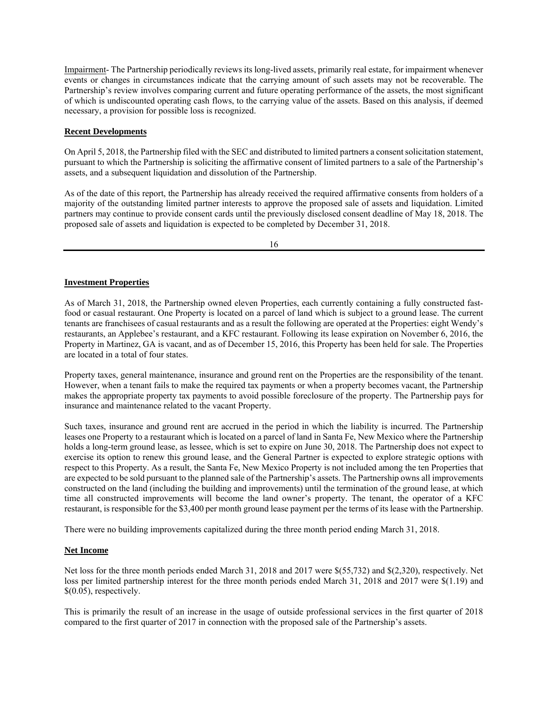Impairment- The Partnership periodically reviews its long-lived assets, primarily real estate, for impairment whenever events or changes in circumstances indicate that the carrying amount of such assets may not be recoverable. The Partnership's review involves comparing current and future operating performance of the assets, the most significant of which is undiscounted operating cash flows, to the carrying value of the assets. Based on this analysis, if deemed necessary, a provision for possible loss is recognized.

#### **Recent Developments**

On April 5, 2018, the Partnership filed with the SEC and distributed to limited partners a consent solicitation statement, pursuant to which the Partnership is soliciting the affirmative consent of limited partners to a sale of the Partnership's assets, and a subsequent liquidation and dissolution of the Partnership.

As of the date of this report, the Partnership has already received the required affirmative consents from holders of a majority of the outstanding limited partner interests to approve the proposed sale of assets and liquidation. Limited partners may continue to provide consent cards until the previously disclosed consent deadline of May 18, 2018. The proposed sale of assets and liquidation is expected to be completed by December 31, 2018.

16

#### **Investment Properties**

As of March 31, 2018, the Partnership owned eleven Properties, each currently containing a fully constructed fastfood or casual restaurant. One Property is located on a parcel of land which is subject to a ground lease. The current tenants are franchisees of casual restaurants and as a result the following are operated at the Properties: eight Wendy's restaurants, an Applebee's restaurant, and a KFC restaurant. Following its lease expiration on November 6, 2016, the Property in Martinez, GA is vacant, and as of December 15, 2016, this Property has been held for sale. The Properties are located in a total of four states.

Property taxes, general maintenance, insurance and ground rent on the Properties are the responsibility of the tenant. However, when a tenant fails to make the required tax payments or when a property becomes vacant, the Partnership makes the appropriate property tax payments to avoid possible foreclosure of the property. The Partnership pays for insurance and maintenance related to the vacant Property.

Such taxes, insurance and ground rent are accrued in the period in which the liability is incurred. The Partnership leases one Property to a restaurant which is located on a parcel of land in Santa Fe, New Mexico where the Partnership holds a long-term ground lease, as lessee, which is set to expire on June 30, 2018. The Partnership does not expect to exercise its option to renew this ground lease, and the General Partner is expected to explore strategic options with respect to this Property. As a result, the Santa Fe, New Mexico Property is not included among the ten Properties that are expected to be sold pursuant to the planned sale of the Partnership's assets. The Partnership owns all improvements constructed on the land (including the building and improvements) until the termination of the ground lease, at which time all constructed improvements will become the land owner's property. The tenant, the operator of a KFC restaurant, is responsible for the \$3,400 per month ground lease payment per the terms of its lease with the Partnership.

There were no building improvements capitalized during the three month period ending March 31, 2018.

#### **Net Income**

Net loss for the three month periods ended March 31, 2018 and 2017 were \$(55,732) and \$(2,320), respectively. Net loss per limited partnership interest for the three month periods ended March 31, 2018 and 2017 were \$(1.19) and \$(0.05), respectively.

This is primarily the result of an increase in the usage of outside professional services in the first quarter of 2018 compared to the first quarter of 2017 in connection with the proposed sale of the Partnership's assets.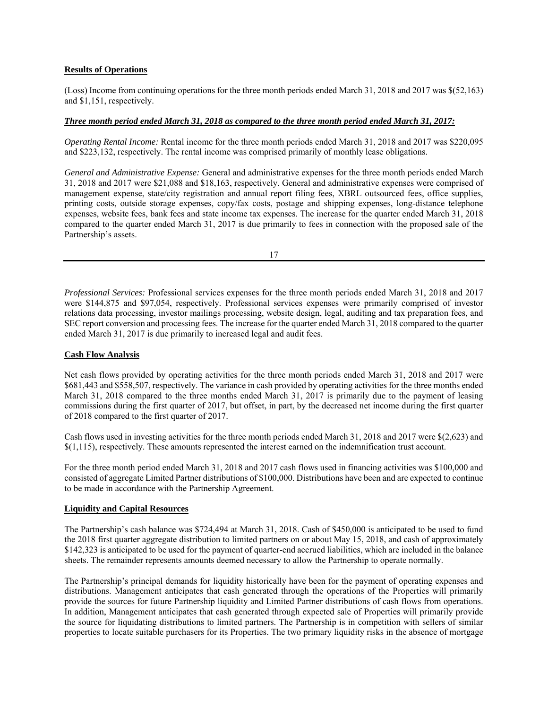#### **Results of Operations**

(Loss) Income from continuing operations for the three month periods ended March 31, 2018 and 2017 was \$(52,163) and \$1,151, respectively.

#### *Three month period ended March 31, 2018 as compared to the three month period ended March 31, 2017:*

*Operating Rental Income:* Rental income for the three month periods ended March 31, 2018 and 2017 was \$220,095 and \$223,132, respectively. The rental income was comprised primarily of monthly lease obligations.

*General and Administrative Expense:* General and administrative expenses for the three month periods ended March 31, 2018 and 2017 were \$21,088 and \$18,163, respectively. General and administrative expenses were comprised of management expense, state/city registration and annual report filing fees, XBRL outsourced fees, office supplies, printing costs, outside storage expenses, copy/fax costs, postage and shipping expenses, long-distance telephone expenses, website fees, bank fees and state income tax expenses. The increase for the quarter ended March 31, 2018 compared to the quarter ended March 31, 2017 is due primarily to fees in connection with the proposed sale of the Partnership's assets.

17

*Professional Services:* Professional services expenses for the three month periods ended March 31, 2018 and 2017 were \$144,875 and \$97,054, respectively. Professional services expenses were primarily comprised of investor relations data processing, investor mailings processing, website design, legal, auditing and tax preparation fees, and SEC report conversion and processing fees. The increase for the quarter ended March 31, 2018 compared to the quarter ended March 31, 2017 is due primarily to increased legal and audit fees.

#### **Cash Flow Analysis**

Net cash flows provided by operating activities for the three month periods ended March 31, 2018 and 2017 were \$681,443 and \$558,507, respectively. The variance in cash provided by operating activities for the three months ended March 31, 2018 compared to the three months ended March 31, 2017 is primarily due to the payment of leasing commissions during the first quarter of 2017, but offset, in part, by the decreased net income during the first quarter of 2018 compared to the first quarter of 2017.

Cash flows used in investing activities for the three month periods ended March 31, 2018 and 2017 were \$(2,623) and \$(1,115), respectively. These amounts represented the interest earned on the indemnification trust account.

For the three month period ended March 31, 2018 and 2017 cash flows used in financing activities was \$100,000 and consisted of aggregate Limited Partner distributions of \$100,000. Distributions have been and are expected to continue to be made in accordance with the Partnership Agreement.

#### **Liquidity and Capital Resources**

The Partnership's cash balance was \$724,494 at March 31, 2018. Cash of \$450,000 is anticipated to be used to fund the 2018 first quarter aggregate distribution to limited partners on or about May 15, 2018, and cash of approximately \$142,323 is anticipated to be used for the payment of quarter-end accrued liabilities, which are included in the balance sheets. The remainder represents amounts deemed necessary to allow the Partnership to operate normally.

The Partnership's principal demands for liquidity historically have been for the payment of operating expenses and distributions. Management anticipates that cash generated through the operations of the Properties will primarily provide the sources for future Partnership liquidity and Limited Partner distributions of cash flows from operations. In addition, Management anticipates that cash generated through expected sale of Properties will primarily provide the source for liquidating distributions to limited partners. The Partnership is in competition with sellers of similar properties to locate suitable purchasers for its Properties. The two primary liquidity risks in the absence of mortgage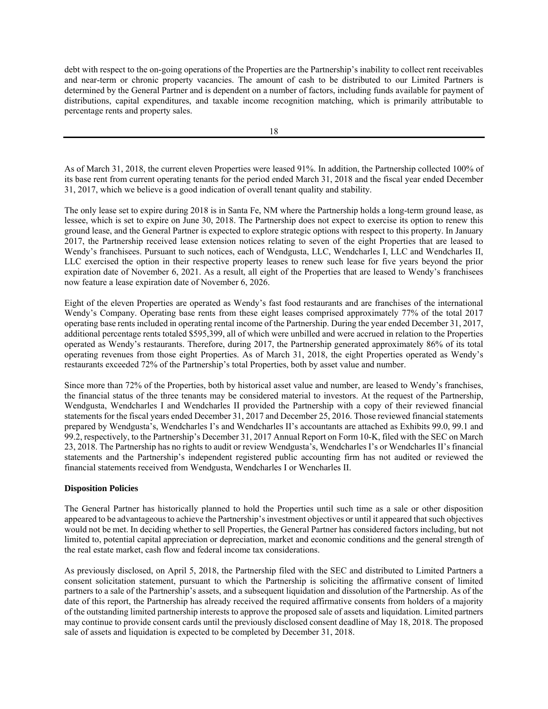debt with respect to the on-going operations of the Properties are the Partnership's inability to collect rent receivables and near-term or chronic property vacancies. The amount of cash to be distributed to our Limited Partners is determined by the General Partner and is dependent on a number of factors, including funds available for payment of distributions, capital expenditures, and taxable income recognition matching, which is primarily attributable to percentage rents and property sales.

As of March 31, 2018, the current eleven Properties were leased 91%. In addition, the Partnership collected 100% of its base rent from current operating tenants for the period ended March 31, 2018 and the fiscal year ended December 31, 2017, which we believe is a good indication of overall tenant quality and stability.

The only lease set to expire during 2018 is in Santa Fe, NM where the Partnership holds a long-term ground lease, as lessee, which is set to expire on June 30, 2018. The Partnership does not expect to exercise its option to renew this ground lease, and the General Partner is expected to explore strategic options with respect to this property. In January 2017, the Partnership received lease extension notices relating to seven of the eight Properties that are leased to Wendy's franchisees. Pursuant to such notices, each of Wendgusta, LLC, Wendcharles I, LLC and Wendcharles II, LLC exercised the option in their respective property leases to renew such lease for five years beyond the prior expiration date of November 6, 2021. As a result, all eight of the Properties that are leased to Wendy's franchisees now feature a lease expiration date of November 6, 2026.

Eight of the eleven Properties are operated as Wendy's fast food restaurants and are franchises of the international Wendy's Company. Operating base rents from these eight leases comprised approximately 77% of the total 2017 operating base rents included in operating rental income of the Partnership. During the year ended December 31, 2017, additional percentage rents totaled \$595,399, all of which were unbilled and were accrued in relation to the Properties operated as Wendy's restaurants. Therefore, during 2017, the Partnership generated approximately 86% of its total operating revenues from those eight Properties. As of March 31, 2018, the eight Properties operated as Wendy's restaurants exceeded 72% of the Partnership's total Properties, both by asset value and number.

Since more than 72% of the Properties, both by historical asset value and number, are leased to Wendy's franchises, the financial status of the three tenants may be considered material to investors. At the request of the Partnership, Wendgusta, Wendcharles I and Wendcharles II provided the Partnership with a copy of their reviewed financial statements for the fiscal years ended December 31, 2017 and December 25, 2016. Those reviewed financial statements prepared by Wendgusta's, Wendcharles I's and Wendcharles II's accountants are attached as Exhibits 99.0, 99.1 and 99.2, respectively, to the Partnership's December 31, 2017 Annual Report on Form 10-K, filed with the SEC on March 23, 2018. The Partnership has no rights to audit or review Wendgusta's, Wendcharles I's or Wendcharles II's financial statements and the Partnership's independent registered public accounting firm has not audited or reviewed the financial statements received from Wendgusta, Wendcharles I or Wencharles II.

#### **Disposition Policies**

The General Partner has historically planned to hold the Properties until such time as a sale or other disposition appeared to be advantageous to achieve the Partnership's investment objectives or until it appeared that such objectives would not be met. In deciding whether to sell Properties, the General Partner has considered factors including, but not limited to, potential capital appreciation or depreciation, market and economic conditions and the general strength of the real estate market, cash flow and federal income tax considerations.

As previously disclosed, on April 5, 2018, the Partnership filed with the SEC and distributed to Limited Partners a consent solicitation statement, pursuant to which the Partnership is soliciting the affirmative consent of limited partners to a sale of the Partnership's assets, and a subsequent liquidation and dissolution of the Partnership. As of the date of this report, the Partnership has already received the required affirmative consents from holders of a majority of the outstanding limited partnership interests to approve the proposed sale of assets and liquidation. Limited partners may continue to provide consent cards until the previously disclosed consent deadline of May 18, 2018. The proposed sale of assets and liquidation is expected to be completed by December 31, 2018.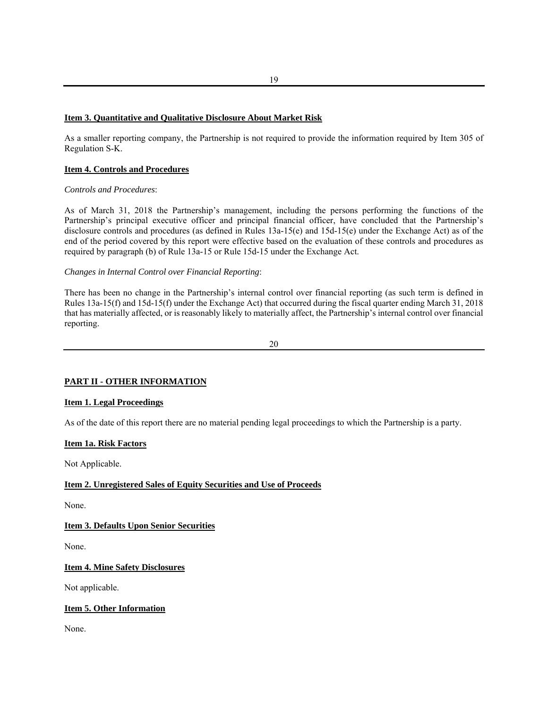#### **Item 3. Quantitative and Qualitative Disclosure About Market Risk**

As a smaller reporting company, the Partnership is not required to provide the information required by Item 305 of Regulation S-K.

#### **Item 4. Controls and Procedures**

#### *Controls and Procedures*:

As of March 31, 2018 the Partnership's management, including the persons performing the functions of the Partnership's principal executive officer and principal financial officer, have concluded that the Partnership's disclosure controls and procedures (as defined in Rules 13a-15(e) and 15d-15(e) under the Exchange Act) as of the end of the period covered by this report were effective based on the evaluation of these controls and procedures as required by paragraph (b) of Rule 13a-15 or Rule 15d-15 under the Exchange Act.

#### *Changes in Internal Control over Financial Reporting*:

There has been no change in the Partnership's internal control over financial reporting (as such term is defined in Rules 13a-15(f) and 15d-15(f) under the Exchange Act) that occurred during the fiscal quarter ending March 31, 2018 that has materially affected, or is reasonably likely to materially affect, the Partnership's internal control over financial reporting.

20

#### **PART II - OTHER INFORMATION**

#### **Item 1. Legal Proceedings**

As of the date of this report there are no material pending legal proceedings to which the Partnership is a party.

#### **Item 1a. Risk Factors**

Not Applicable.

#### **Item 2. Unregistered Sales of Equity Securities and Use of Proceeds**

None.

#### **Item 3. Defaults Upon Senior Securities**

None.

#### **Item 4. Mine Safety Disclosures**

Not applicable.

#### **Item 5. Other Information**

None.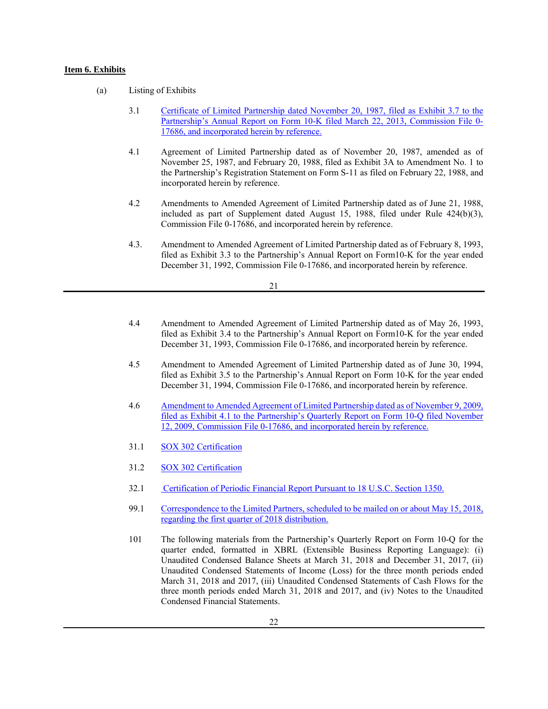#### **Item 6. Exhibits**

- (a) Listing of Exhibits
	- 3.1 Certificate of Limited Partnership dated November 20, 1987, filed as Exhibit 3.7 to the Partnership's Annual Report on Form 10-K filed March 22, 2013, Commission File 0- 17686, and incorporated herein by reference.
	- 4.1 Agreement of Limited Partnership dated as of November 20, 1987, amended as of November 25, 1987, and February 20, 1988, filed as Exhibit 3A to Amendment No. 1 to the Partnership's Registration Statement on Form S-11 as filed on February 22, 1988, and incorporated herein by reference.
	- 4.2 Amendments to Amended Agreement of Limited Partnership dated as of June 21, 1988, included as part of Supplement dated August 15, 1988, filed under Rule 424(b)(3), Commission File 0-17686, and incorporated herein by reference.
	- 4.3. Amendment to Amended Agreement of Limited Partnership dated as of February 8, 1993, filed as Exhibit 3.3 to the Partnership's Annual Report on Form10-K for the year ended December 31, 1992, Commission File 0-17686, and incorporated herein by reference.

- 4.4 Amendment to Amended Agreement of Limited Partnership dated as of May 26, 1993, filed as Exhibit 3.4 to the Partnership's Annual Report on Form10-K for the year ended December 31, 1993, Commission File 0-17686, and incorporated herein by reference.
- 4.5 Amendment to Amended Agreement of Limited Partnership dated as of June 30, 1994, filed as Exhibit 3.5 to the Partnership's Annual Report on Form 10-K for the year ended December 31, 1994, Commission File 0-17686, and incorporated herein by reference.
- 4.6 Amendment to Amended Agreement of Limited Partnership dated as of November 9, 2009, filed as Exhibit 4.1 to the Partnership's Quarterly Report on Form 10-Q filed November 12, 2009, Commission File 0-17686, and incorporated herein by reference.
- 31.1 SOX 302 Certification
- 31.2 SOX 302 Certification
- 32.1 Certification of Periodic Financial Report Pursuant to 18 U.S.C. Section 1350.
- 99.1 Correspondence to the Limited Partners, scheduled to be mailed on or about May 15, 2018, regarding the first quarter of 2018 distribution.
- 101 The following materials from the Partnership's Quarterly Report on Form 10-Q for the quarter ended, formatted in XBRL (Extensible Business Reporting Language): (i) Unaudited Condensed Balance Sheets at March 31, 2018 and December 31, 2017, (ii) Unaudited Condensed Statements of Income (Loss) for the three month periods ended March 31, 2018 and 2017, (iii) Unaudited Condensed Statements of Cash Flows for the three month periods ended March 31, 2018 and 2017, and (iv) Notes to the Unaudited Condensed Financial Statements.

<sup>21</sup>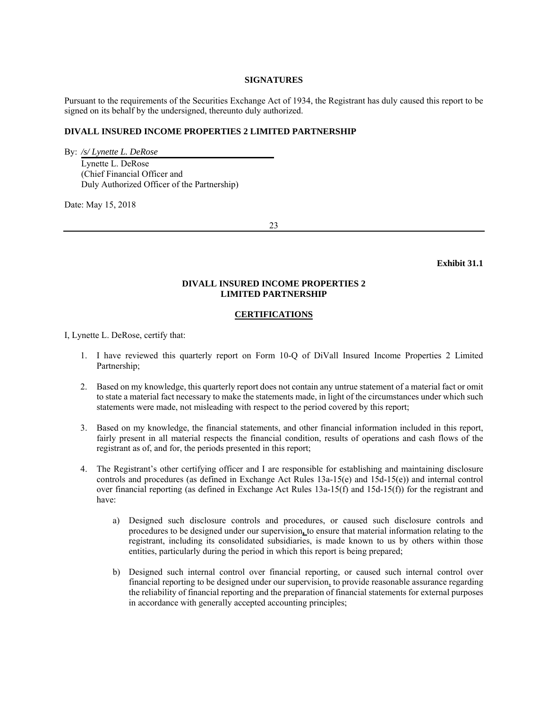#### **SIGNATURES**

Pursuant to the requirements of the Securities Exchange Act of 1934, the Registrant has duly caused this report to be signed on its behalf by the undersigned, thereunto duly authorized.

#### **DIVALL INSURED INCOME PROPERTIES 2 LIMITED PARTNERSHIP**

By: */s/ Lynette L. DeRose* Lynette L. DeRose (Chief Financial Officer and Duly Authorized Officer of the Partnership)

Date: May 15, 2018

23

**Exhibit 31.1** 

#### **DIVALL INSURED INCOME PROPERTIES 2 LIMITED PARTNERSHIP**

#### **CERTIFICATIONS**

I, Lynette L. DeRose, certify that:

- 1. I have reviewed this quarterly report on Form 10-Q of DiVall Insured Income Properties 2 Limited Partnership;
- 2. Based on my knowledge, this quarterly report does not contain any untrue statement of a material fact or omit to state a material fact necessary to make the statements made, in light of the circumstances under which such statements were made, not misleading with respect to the period covered by this report;
- 3. Based on my knowledge, the financial statements, and other financial information included in this report, fairly present in all material respects the financial condition, results of operations and cash flows of the registrant as of, and for, the periods presented in this report;
- 4. The Registrant's other certifying officer and I are responsible for establishing and maintaining disclosure controls and procedures (as defined in Exchange Act Rules 13a-15(e) and 15d-15(e)) and internal control over financial reporting (as defined in Exchange Act Rules 13a-15(f) and 15d-15(f)) for the registrant and have:
	- a) Designed such disclosure controls and procedures, or caused such disclosure controls and procedures to be designed under our supervision**,** to ensure that material information relating to the registrant, including its consolidated subsidiaries, is made known to us by others within those entities, particularly during the period in which this report is being prepared;
	- b) Designed such internal control over financial reporting, or caused such internal control over financial reporting to be designed under our supervision, to provide reasonable assurance regarding the reliability of financial reporting and the preparation of financial statements for external purposes in accordance with generally accepted accounting principles;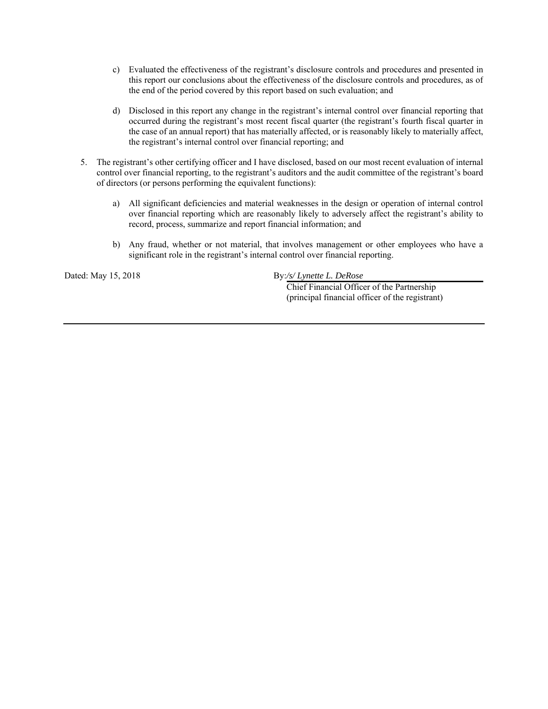- c) Evaluated the effectiveness of the registrant's disclosure controls and procedures and presented in this report our conclusions about the effectiveness of the disclosure controls and procedures, as of the end of the period covered by this report based on such evaluation; and
- d) Disclosed in this report any change in the registrant's internal control over financial reporting that occurred during the registrant's most recent fiscal quarter (the registrant's fourth fiscal quarter in the case of an annual report) that has materially affected, or is reasonably likely to materially affect, the registrant's internal control over financial reporting; and
- 5. The registrant's other certifying officer and I have disclosed, based on our most recent evaluation of internal control over financial reporting, to the registrant's auditors and the audit committee of the registrant's board of directors (or persons performing the equivalent functions):
	- a) All significant deficiencies and material weaknesses in the design or operation of internal control over financial reporting which are reasonably likely to adversely affect the registrant's ability to record, process, summarize and report financial information; and
	- b) Any fraud, whether or not material, that involves management or other employees who have a significant role in the registrant's internal control over financial reporting.

Dated: May 15, 2018 By:/s/ Lynette L. DeRose

 Chief Financial Officer of the Partnership (principal financial officer of the registrant)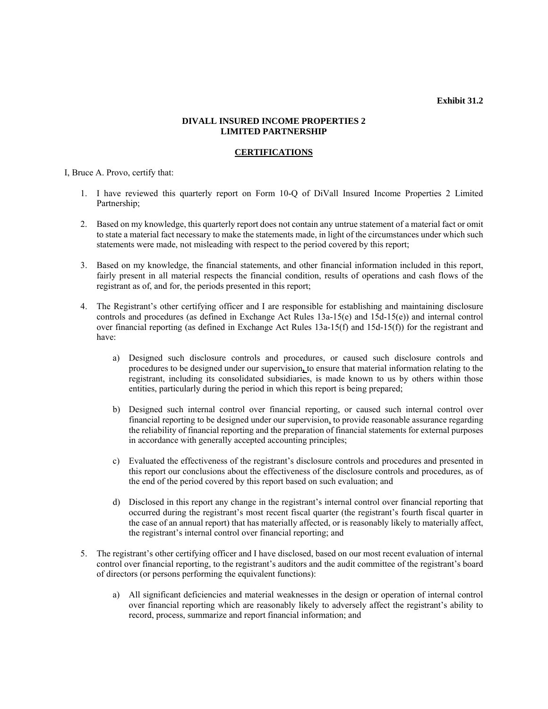**Exhibit 31.2** 

#### **DIVALL INSURED INCOME PROPERTIES 2 LIMITED PARTNERSHIP**

#### **CERTIFICATIONS**

I, Bruce A. Provo, certify that:

- 1. I have reviewed this quarterly report on Form 10-Q of DiVall Insured Income Properties 2 Limited Partnership;
- 2. Based on my knowledge, this quarterly report does not contain any untrue statement of a material fact or omit to state a material fact necessary to make the statements made, in light of the circumstances under which such statements were made, not misleading with respect to the period covered by this report;
- 3. Based on my knowledge, the financial statements, and other financial information included in this report, fairly present in all material respects the financial condition, results of operations and cash flows of the registrant as of, and for, the periods presented in this report;
- 4. The Registrant's other certifying officer and I are responsible for establishing and maintaining disclosure controls and procedures (as defined in Exchange Act Rules 13a-15(e) and 15d-15(e)) and internal control over financial reporting (as defined in Exchange Act Rules 13a-15(f) and 15d-15(f)) for the registrant and have:
	- a) Designed such disclosure controls and procedures, or caused such disclosure controls and procedures to be designed under our supervision**,** to ensure that material information relating to the registrant, including its consolidated subsidiaries, is made known to us by others within those entities, particularly during the period in which this report is being prepared;
	- b) Designed such internal control over financial reporting, or caused such internal control over financial reporting to be designed under our supervision, to provide reasonable assurance regarding the reliability of financial reporting and the preparation of financial statements for external purposes in accordance with generally accepted accounting principles;
	- c) Evaluated the effectiveness of the registrant's disclosure controls and procedures and presented in this report our conclusions about the effectiveness of the disclosure controls and procedures, as of the end of the period covered by this report based on such evaluation; and
	- d) Disclosed in this report any change in the registrant's internal control over financial reporting that occurred during the registrant's most recent fiscal quarter (the registrant's fourth fiscal quarter in the case of an annual report) that has materially affected, or is reasonably likely to materially affect, the registrant's internal control over financial reporting; and
- 5. The registrant's other certifying officer and I have disclosed, based on our most recent evaluation of internal control over financial reporting, to the registrant's auditors and the audit committee of the registrant's board of directors (or persons performing the equivalent functions):
	- a) All significant deficiencies and material weaknesses in the design or operation of internal control over financial reporting which are reasonably likely to adversely affect the registrant's ability to record, process, summarize and report financial information; and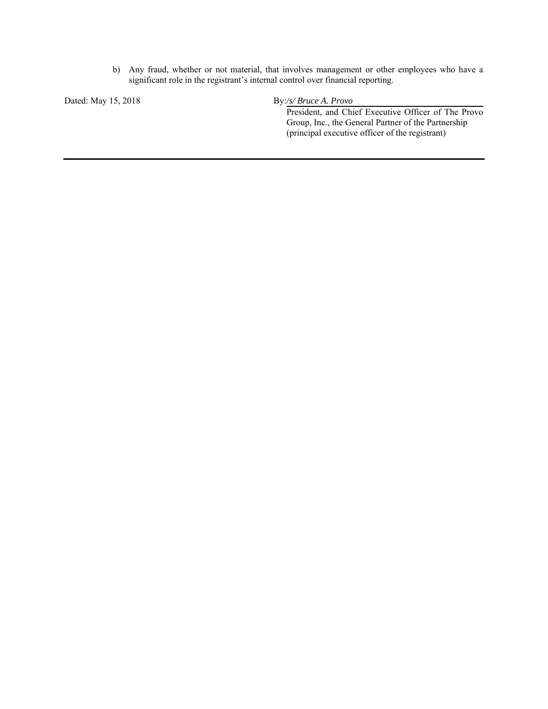b) Any fraud, whether or not material, that involves management or other employees who have a significant role in the registrant's internal control over financial reporting.

Dated: May 15, 2018 **By:/s/ Bruce A. Provo** 

 President, and Chief Executive Officer of The Provo Group, Inc., the General Partner of the Partnership (principal executive officer of the registrant)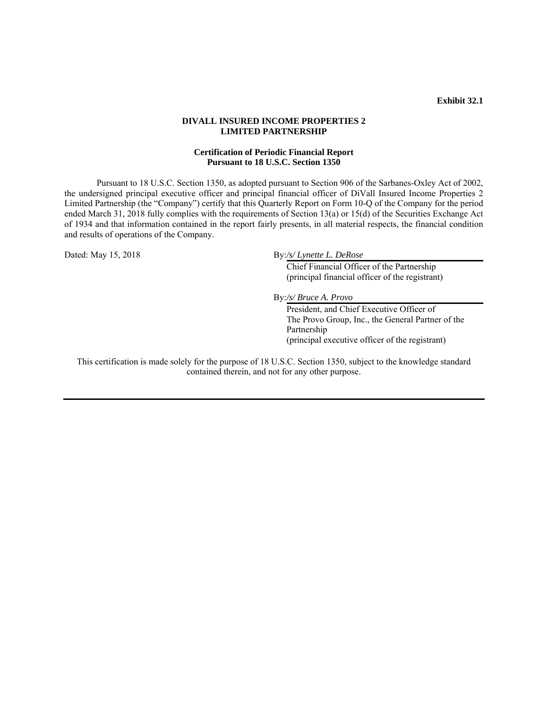#### **Exhibit 32.1**

#### **DIVALL INSURED INCOME PROPERTIES 2 LIMITED PARTNERSHIP**

#### **Certification of Periodic Financial Report Pursuant to 18 U.S.C. Section 1350**

Pursuant to 18 U.S.C. Section 1350, as adopted pursuant to Section 906 of the Sarbanes-Oxley Act of 2002, the undersigned principal executive officer and principal financial officer of DiVall Insured Income Properties 2 Limited Partnership (the "Company") certify that this Quarterly Report on Form 10-Q of the Company for the period ended March 31, 2018 fully complies with the requirements of Section 13(a) or 15(d) of the Securities Exchange Act of 1934 and that information contained in the report fairly presents, in all material respects, the financial condition and results of operations of the Company.

Dated: May 15, 2018 By:/s/ Lynette L. DeRose

 Chief Financial Officer of the Partnership (principal financial officer of the registrant)

By:*/s/ Bruce A. Provo*

 President, and Chief Executive Officer of The Provo Group, Inc., the General Partner of the Partnership (principal executive officer of the registrant)

This certification is made solely for the purpose of 18 U.S.C. Section 1350, subject to the knowledge standard contained therein, and not for any other purpose.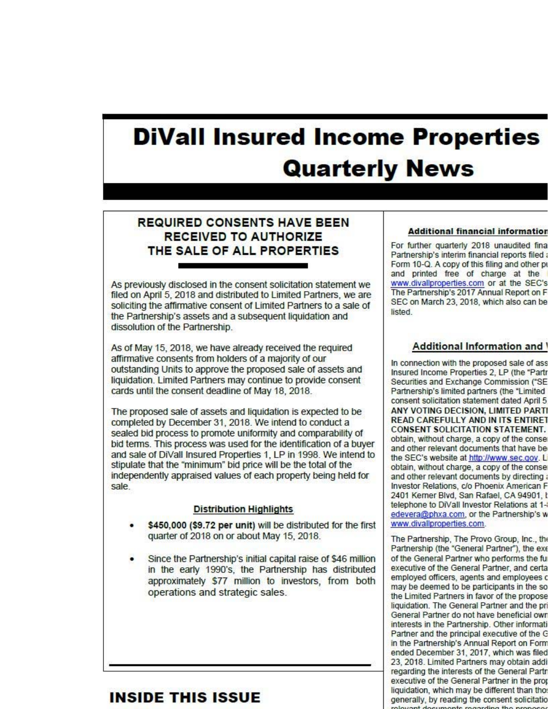# **DiVall Insured Income Properties Quarterly News**

## **REQUIRED CONSENTS HAVE BEEN RECEIVED TO AUTHORIZE** THE SALE OF ALL PROPERTIES

As previously disclosed in the consent solicitation statement we filed on April 5, 2018 and distributed to Limited Partners, we are soliciting the affirmative consent of Limited Partners to a sale of the Partnership's assets and a subsequent liquidation and dissolution of the Partnership.

As of May 15, 2018, we have already received the required affirmative consents from holders of a majority of our outstanding Units to approve the proposed sale of assets and liquidation. Limited Partners may continue to provide consent cards until the consent deadline of May 18, 2018.

The proposed sale of assets and liquidation is expected to be completed by December 31, 2018. We intend to conduct a sealed bid process to promote uniformity and comparability of bid terms. This process was used for the identification of a buver and sale of DiVall Insured Properties 1, LP in 1998. We intend to stipulate that the "minimum" bid price will be the total of the independently appraised values of each property being held for sale.

#### **Distribution Highlights**

- \$450,000 (\$9.72 per unit) will be distributed for the first quarter of 2018 on or about May 15, 2018.
- Since the Partnership's initial capital raise of \$46 million in the early 1990's, the Partnership has distributed approximately \$77 million to investors, from both operations and strategic sales.

# INSIDE THIS ISSUE

#### **Additional financial information**

For further quarterly 2018 unaudited fina Partnership's interim financial reports filed Form 10-Q. A copy of this filing and other p and printed free of charge at the www.divallproperties.com or at the SEC's The Partnership's 2017 Annual Report on F SEC on March 23, 2018, which also can be listed.

### Additional Information and

In connection with the proposed sale of ass Insured Income Properties 2, LP (the "Parti Securities and Exchange Commission ("SE Partnership's limited partners (the "Limited consent solicitation statement dated April 5 ANY VOTING DECISION, LIMITED PART **READ CAREFULLY AND IN ITS ENTIRET CONSENT SOLICITATION STATEMENT.** obtain, without charge, a copy of the conse and other relevant documents that have be the SEC's website at http://www.sec.gov.L obtain, without charge, a copy of the conse and other relevant documents by directing Investor Relations, c/o Phoenix American F 2401 Kerner Blvd, San Rafael, CA 94901, I telephone to DiVall Investor Relations at 1edevera@phxa.com, or the Partnership's w www.divallproperties.com.

The Partnership, The Provo Group, Inc., the Partnership (the "General Partner"), the exe of the General Partner who performs the fu executive of the General Partner, and certa employed officers, agents and employees o may be deemed to be participants in the so the Limited Partners in favor of the propose liquidation. The General Partner and the pr General Partner do not have beneficial owr interests in the Partnership. Other informati Partner and the principal executive of the G in the Partnership's Annual Report on Form ended December 31, 2017, which was filed 23, 2018. Limited Partners may obtain addi regarding the interests of the General Partr executive of the General Partner in the pro liquidation, which may be different than tho generally, by reading the consent solicitatio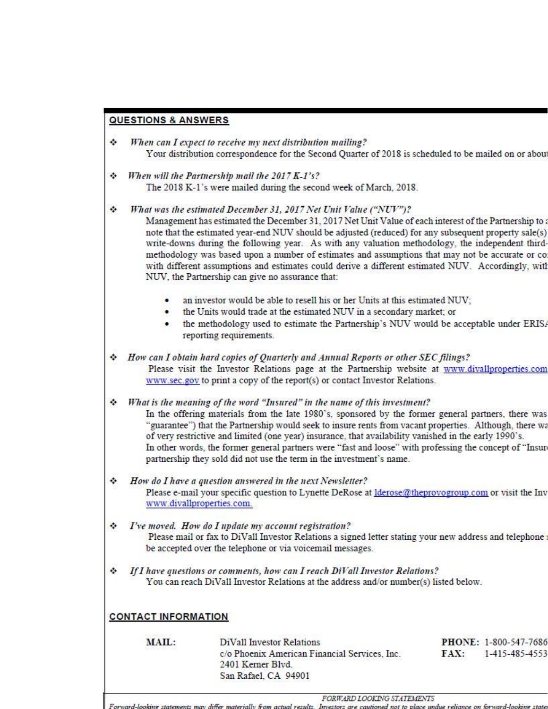## **QUESTIONS & ANSWERS**

- ٠ When can I expect to receive my next distribution mailing? Your distribution correspondence for the Second Ouarter of 2018 is scheduled to be mailed on or abou
- ÷ When will the Partnership mail the 2017 K-1's? The 2018 K-1's were mailed during the second week of March, 2018.

÷ What was the estimated December 31, 2017 Net Unit Value ("NUV")? Management has estimated the December 31, 2017 Net Unit Value of each interest of the Partnership to a note that the estimated year-end NUV should be adjusted (reduced) for any subsequent property sale(s) write-downs during the following year. As with any valuation methodology, the independent thirdmethodology was based upon a number of estimates and assumptions that may not be accurate or co with different assumptions and estimates could derive a different estimated NUV. Accordingly, with NUV, the Partnership can give no assurance that:

- an investor would be able to resell his or her Units at this estimated NUV;
- the Units would trade at the estimated NUV in a secondary market: or
- the methodology used to estimate the Partnership's NUV would be acceptable under ERIS. reporting requirements.

How can I obtain hard copies of Quarterly and Annual Reports or other SEC filings?  $\sim$ Please visit the Investor Relations page at the Partnership website at www.divallproperties.com www.sec.gov to print a copy of the report(s) or contact Investor Relations.

٠ What is the meaning of the word "Insured" in the name of this investment? In the offering materials from the late 1980's, sponsored by the former general partners, there was "guarantee") that the Partnership would seek to insure rents from vacant properties. Although, there wa of very restrictive and limited (one year) insurance, that availability vanished in the early 1990's. In other words, the former general partners were "fast and loose" with professing the concept of "Insur partnership they sold did not use the term in the investment's name.

- ٠ How do I have a question answered in the next Newsletter? Please e-mail your specific question to Lynette DeRose at *Iderose@theprovogroup.com* or visit the Inv www.divallproperties.com.
- I've moved. How do I update my account registration? ٠ Please mail or fax to DiVall Investor Relations a signed letter stating your new address and telephone be accepted over the telephone or via voicemail messages.
- ٠ If I have questions or comments, how can I reach DiVall Investor Relations? You can reach DiVall Investor Relations at the address and/or number(s) listed below.

## **CONTACT INFORMATION**

| <b>MAIL</b><br>THE CHARLES CLEAR | DiVall Investor Relations                     |      | <b>PHONE: 1-800-547-7686</b> |
|----------------------------------|-----------------------------------------------|------|------------------------------|
|                                  | c/o Phoenix American Financial Services, Inc. | FAX: | 1-415-485-4553               |
|                                  | 2401 Kerner Blyd.                             |      |                              |
|                                  | San Rafael, CA 94901                          |      |                              |
|                                  |                                               |      |                              |

FORWARD LOOKING STATEMENTS

e on forward-looking state Investors are cautioned not to place uni